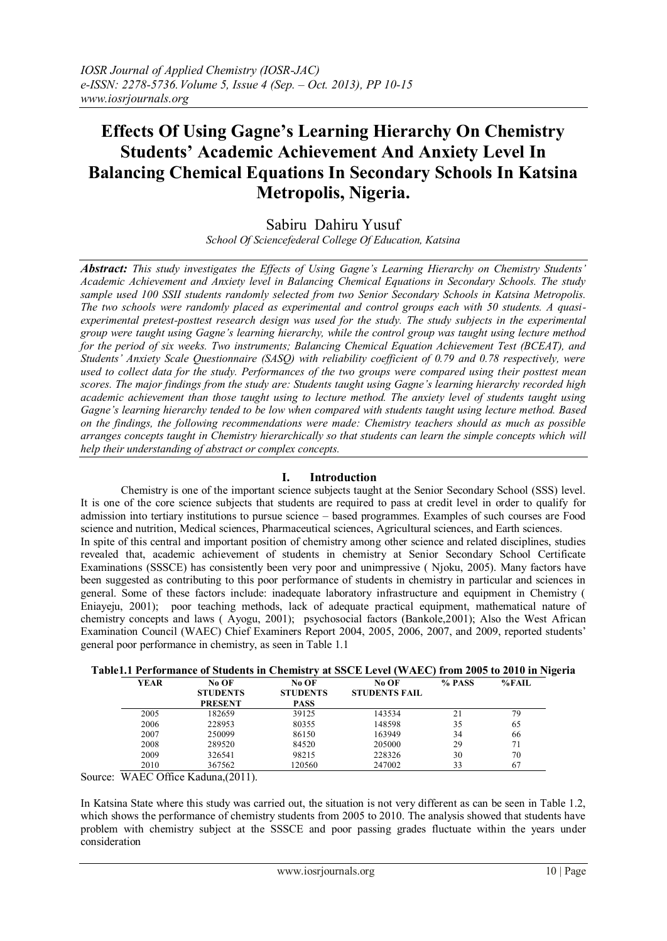# **Effects Of Using Gagne's Learning Hierarchy On Chemistry Students' Academic Achievement And Anxiety Level In Balancing Chemical Equations In Secondary Schools In Katsina Metropolis, Nigeria.**

Sabiru Dahiru Yusuf *School Of Sciencefederal College Of Education, Katsina* 

*Abstract: This study investigates the Effects of Using Gagne's Learning Hierarchy on Chemistry Students' Academic Achievement and Anxiety level in Balancing Chemical Equations in Secondary Schools. The study sample used 100 SSII students randomly selected from two Senior Secondary Schools in Katsina Metropolis. The two schools were randomly placed as experimental and control groups each with 50 students. A quasiexperimental pretest-posttest research design was used for the study. The study subjects in the experimental group were taught using Gagne's learning hierarchy, while the control group was taught using lecture method for the period of six weeks. Two instruments; Balancing Chemical Equation Achievement Test (BCEAT), and Students' Anxiety Scale Questionnaire (SASQ) with reliability coefficient of 0.79 and 0.78 respectively, were used to collect data for the study. Performances of the two groups were compared using their posttest mean scores. The major findings from the study are: Students taught using Gagne's learning hierarchy recorded high academic achievement than those taught using to lecture method. The anxiety level of students taught using Gagne's learning hierarchy tended to be low when compared with students taught using lecture method. Based on the findings, the following recommendations were made: Chemistry teachers should as much as possible arranges concepts taught in Chemistry hierarchically so that students can learn the simple concepts which will help their understanding of abstract or complex concepts.* 

# **I. Introduction**

Chemistry is one of the important science subjects taught at the Senior Secondary School (SSS) level. It is one of the core science subjects that students are required to pass at credit level in order to qualify for admission into tertiary institutions to pursue science – based programmes. Examples of such courses are Food science and nutrition, Medical sciences, Pharmaceutical sciences, Agricultural sciences, and Earth sciences. In spite of this central and important position of chemistry among other science and related disciplines, studies revealed that, academic achievement of students in chemistry at Senior Secondary School Certificate Examinations (SSSCE) has consistently been very poor and unimpressive ( Njoku, 2005). Many factors have been suggested as contributing to this poor performance of students in chemistry in particular and sciences in general. Some of these factors include: inadequate laboratory infrastructure and equipment in Chemistry ( Eniayeju, 2001); poor teaching methods, lack of adequate practical equipment, mathematical nature of chemistry concepts and laws ( Ayogu, 2001); psychosocial factors (Bankole,2001); Also the West African Examination Council (WAEC) Chief Examiners Report 2004, 2005, 2006, 2007, and 2009, reported students' general poor performance in chemistry, as seen in Table 1.1

|      |                 |                 | ADIEL,I FEFIOFMANCE OI SUUQENIS IN UNEMISITY AL SSUE LEVEI (WAEU) IFOM ZUUS 10 ZUIU IN NI |        |       |
|------|-----------------|-----------------|-------------------------------------------------------------------------------------------|--------|-------|
| YEAR | No OF           | No OF           | No OF                                                                                     | % PASS | %FAIL |
|      | <b>STUDENTS</b> | <b>STUDENTS</b> | <b>STUDENTS FAIL</b>                                                                      |        |       |
|      | <b>PRESENT</b>  | <b>PASS</b>     |                                                                                           |        |       |
| 2005 | 182659          | 39125           | 143534                                                                                    | 21     | 79    |
| 2006 | 228953          | 80355           | 148598                                                                                    | 35     | 65    |
| 2007 | 250099          | 86150           | 163949                                                                                    | 34     | 66    |
| 2008 | 289520          | 84520           | 205000                                                                                    | 29     | 71    |
| 2009 | 326541          | 98215           | 228326                                                                                    | 30     | 70    |
| 2010 | 367562          | 120560          | 247002                                                                                    | 33     | 67    |
|      |                 |                 |                                                                                           |        |       |

| Table1.1 Performance of Students in Chemistry at SSCE Level (WAEC) from 2005 to 2010 in Nigeria |  |  |  |  |  |
|-------------------------------------------------------------------------------------------------|--|--|--|--|--|
|                                                                                                 |  |  |  |  |  |

Source: WAEC Office Kaduna, (2011).

In Katsina State where this study was carried out, the situation is not very different as can be seen in Table 1.2, which shows the performance of chemistry students from 2005 to 2010. The analysis showed that students have problem with chemistry subject at the SSSCE and poor passing grades fluctuate within the years under consideration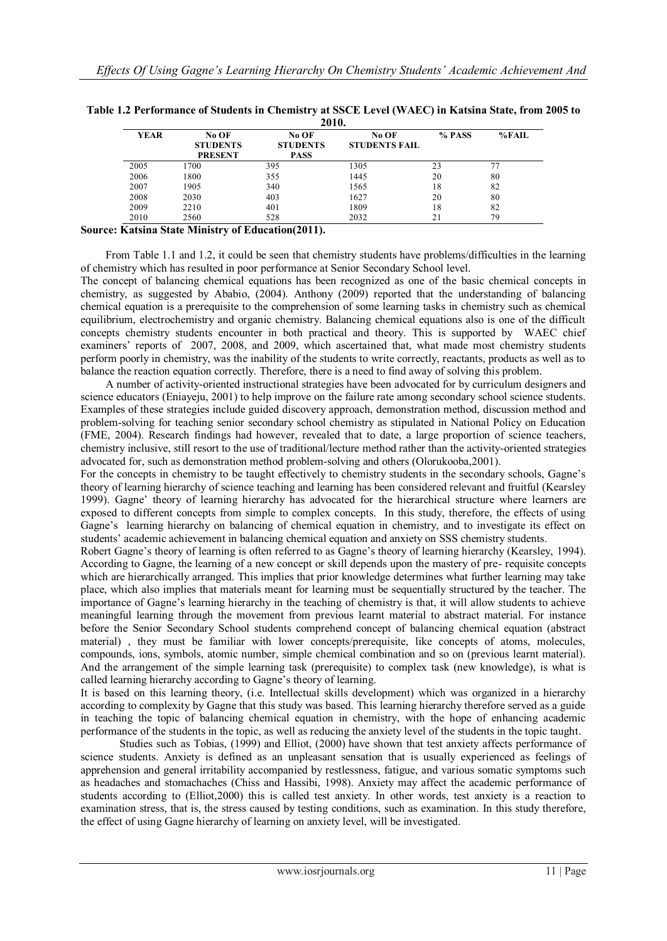|             |                                            | 2010.                                   |                               |        |          |
|-------------|--------------------------------------------|-----------------------------------------|-------------------------------|--------|----------|
| <b>YEAR</b> | No OF<br><b>STUDENTS</b><br><b>PRESENT</b> | No OF<br><b>STUDENTS</b><br><b>PASS</b> | No OF<br><b>STUDENTS FAIL</b> | % PASS | $%$ FAIL |
| 2005        | 1700                                       | 395                                     | 1305                          | 23     |          |
| 2006        | 1800                                       | 355                                     | 1445                          | 20     | 80       |
| 2007        | 1905                                       | 340                                     | 1565                          | 18     | 82       |
| 2008        | 2030                                       | 403                                     | 1627                          | 20     | 80       |
| 2009        | 2210                                       | 401                                     | 1809                          | 18     | 82       |
| 2010        | 2560                                       | 528                                     | 2032                          | 21     | 79       |

| Table 1.2 Performance of Students in Chemistry at SSCE Level (WAEC) in Katsina State, from 2005 to |
|----------------------------------------------------------------------------------------------------|
|                                                                                                    |

# **Source: Katsina State Ministry of Education(2011).**

 From Table 1.1 and 1.2, it could be seen that chemistry students have problems/difficulties in the learning of chemistry which has resulted in poor performance at Senior Secondary School level.

The concept of balancing chemical equations has been recognized as one of the basic chemical concepts in chemistry, as suggested by Ababio, (2004). Anthony (2009) reported that the understanding of balancing chemical equation is a prerequisite to the comprehension of some learning tasks in chemistry such as chemical equilibrium, electrochemistry and organic chemistry. Balancing chemical equations also is one of the difficult concepts chemistry students encounter in both practical and theory. This is supported by WAEC chief examiners' reports of 2007, 2008, and 2009, which ascertained that, what made most chemistry students perform poorly in chemistry, was the inability of the students to write correctly, reactants, products as well as to balance the reaction equation correctly. Therefore, there is a need to find away of solving this problem.

 A number of activity-oriented instructional strategies have been advocated for by curriculum designers and science educators (Eniayeju, 2001) to help improve on the failure rate among secondary school science students. Examples of these strategies include guided discovery approach, demonstration method, discussion method and problem-solving for teaching senior secondary school chemistry as stipulated in National Policy on Education (FME, 2004). Research findings had however, revealed that to date, a large proportion of science teachers, chemistry inclusive, still resort to the use of traditional/lecture method rather than the activity-oriented strategies advocated for, such as demonstration method problem-solving and others (Olorukooba,2001).

For the concepts in chemistry to be taught effectively to chemistry students in the secondary schools, Gagne's theory of learning hierarchy of science teaching and learning has been considered relevant and fruitful (Kearsley 1999). Gagne' theory of learning hierarchy has advocated for the hierarchical structure where learners are exposed to different concepts from simple to complex concepts. In this study, therefore, the effects of using Gagne's learning hierarchy on balancing of chemical equation in chemistry, and to investigate its effect on students' academic achievement in balancing chemical equation and anxiety on SSS chemistry students.

Robert Gagne's theory of learning is often referred to as Gagne's theory of learning hierarchy (Kearsley, 1994). According to Gagne, the learning of a new concept or skill depends upon the mastery of pre- requisite concepts which are hierarchically arranged. This implies that prior knowledge determines what further learning may take place, which also implies that materials meant for learning must be sequentially structured by the teacher. The importance of Gagne's learning hierarchy in the teaching of chemistry is that, it will allow students to achieve meaningful learning through the movement from previous learnt material to abstract material. For instance before the Senior Secondary School students comprehend concept of balancing chemical equation (abstract material) , they must be familiar with lower concepts/prerequisite, like concepts of atoms, molecules, compounds, ions, symbols, atomic number, simple chemical combination and so on (previous learnt material). And the arrangement of the simple learning task (prerequisite) to complex task (new knowledge), is what is called learning hierarchy according to Gagne's theory of learning.

It is based on this learning theory, (i.e. Intellectual skills development) which was organized in a hierarchy according to complexity by Gagne that this study was based. This learning hierarchy therefore served as a guide in teaching the topic of balancing chemical equation in chemistry, with the hope of enhancing academic performance of the students in the topic, as well as reducing the anxiety level of the students in the topic taught.

 Studies such as Tobias, (1999) and Elliot, (2000) have shown that test anxiety affects performance of science students. Anxiety is defined as an unpleasant sensation that is usually experienced as feelings of apprehension and general irritability accompanied by restlessness, fatigue, and various somatic symptoms such as headaches and stomachaches (Chiss and Hassibi, 1998). Anxiety may affect the academic performance of students according to (Elliot,2000) this is called test anxiety. In other words, test anxiety is a reaction to examination stress, that is, the stress caused by testing conditions, such as examination. In this study therefore, the effect of using Gagne hierarchy of learning on anxiety level, will be investigated.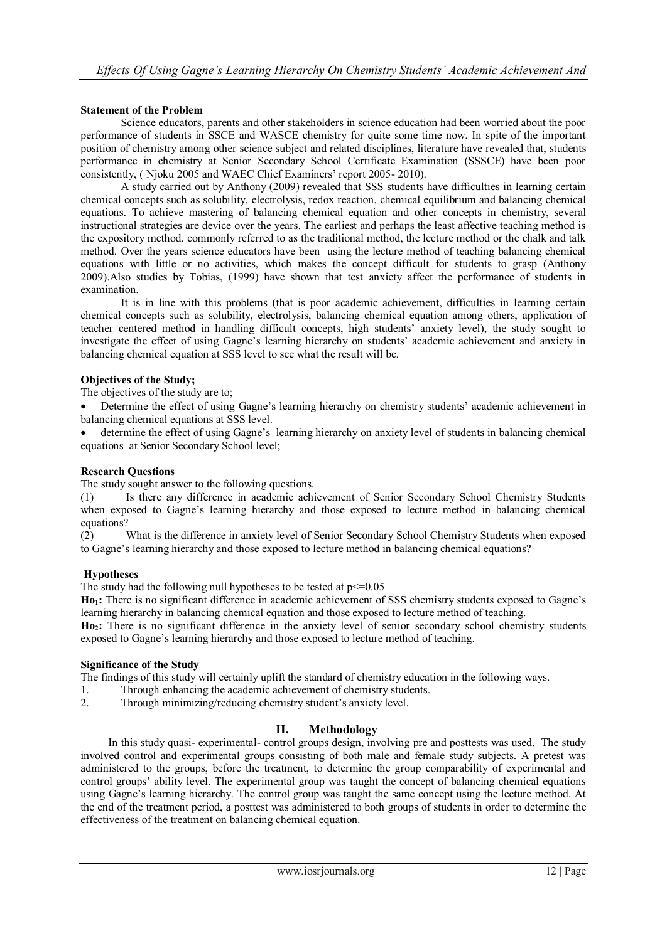# **Statement of the Problem**

Science educators, parents and other stakeholders in science education had been worried about the poor performance of students in SSCE and WASCE chemistry for quite some time now. In spite of the important position of chemistry among other science subject and related disciplines, literature have revealed that, students performance in chemistry at Senior Secondary School Certificate Examination (SSSCE) have been poor consistently, ( Njoku 2005 and WAEC Chief Examiners' report 2005- 2010).

A study carried out by Anthony (2009) revealed that SSS students have difficulties in learning certain chemical concepts such as solubility, electrolysis, redox reaction, chemical equilibrium and balancing chemical equations. To achieve mastering of balancing chemical equation and other concepts in chemistry, several instructional strategies are device over the years. The earliest and perhaps the least affective teaching method is the expository method, commonly referred to as the traditional method, the lecture method or the chalk and talk method. Over the years science educators have been using the lecture method of teaching balancing chemical equations with little or no activities, which makes the concept difficult for students to grasp (Anthony 2009).Also studies by Tobias, (1999) have shown that test anxiety affect the performance of students in examination.

It is in line with this problems (that is poor academic achievement, difficulties in learning certain chemical concepts such as solubility, electrolysis, balancing chemical equation among others, application of teacher centered method in handling difficult concepts, high students' anxiety level), the study sought to investigate the effect of using Gagne's learning hierarchy on students' academic achievement and anxiety in balancing chemical equation at SSS level to see what the result will be.

## **Objectives of the Study;**

The objectives of the study are to;

 Determine the effect of using Gagne's learning hierarchy on chemistry students' academic achievement in balancing chemical equations at SSS level.

 determine the effect of using Gagne's learning hierarchy on anxiety level of students in balancing chemical equations at Senior Secondary School level;

## **Research Questions**

The study sought answer to the following questions.

(1) Is there any difference in academic achievement of Senior Secondary School Chemistry Students when exposed to Gagne's learning hierarchy and those exposed to lecture method in balancing chemical equations?

(2) What is the difference in anxiety level of Senior Secondary School Chemistry Students when exposed to Gagne's learning hierarchy and those exposed to lecture method in balancing chemical equations?

#### **Hypotheses**

The study had the following null hypotheses to be tested at  $p \le 0.05$ 

**Ho1:** There is no significant difference in academic achievement of SSS chemistry students exposed to Gagne's learning hierarchy in balancing chemical equation and those exposed to lecture method of teaching.

**Ho2:** There is no significant difference in the anxiety level of senior secondary school chemistry students exposed to Gagne's learning hierarchy and those exposed to lecture method of teaching.

## **Significance of the Study**

The findings of this study will certainly uplift the standard of chemistry education in the following ways.

- 1. Through enhancing the academic achievement of chemistry students.
- 2. Through minimizing/reducing chemistry student's anxiety level.

# **II. Methodology**

In this study quasi- experimental- control groups design, involving pre and posttests was used. The study involved control and experimental groups consisting of both male and female study subjects. A pretest was administered to the groups, before the treatment, to determine the group comparability of experimental and control groups' ability level. The experimental group was taught the concept of balancing chemical equations using Gagne's learning hierarchy. The control group was taught the same concept using the lecture method. At the end of the treatment period, a posttest was administered to both groups of students in order to determine the effectiveness of the treatment on balancing chemical equation.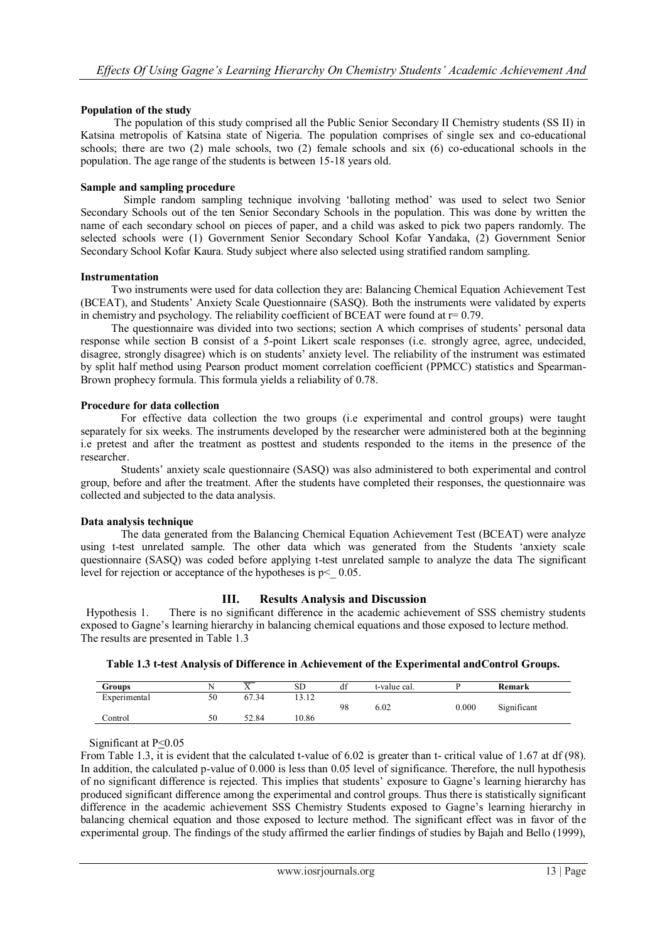## **Population of the study**

 The population of this study comprised all the Public Senior Secondary II Chemistry students (SS II) in Katsina metropolis of Katsina state of Nigeria. The population comprises of single sex and co-educational schools; there are two (2) male schools, two (2) female schools and six (6) co-educational schools in the population. The age range of the students is between 15-18 years old.

### **Sample and sampling procedure**

Simple random sampling technique involving 'balloting method' was used to select two Senior Secondary Schools out of the ten Senior Secondary Schools in the population. This was done by written the name of each secondary school on pieces of paper, and a child was asked to pick two papers randomly. The selected schools were (1) Government Senior Secondary School Kofar Yandaka, (2) Government Senior Secondary School Kofar Kaura. Study subject where also selected using stratified random sampling.

#### **Instrumentation**

 Two instruments were used for data collection they are: Balancing Chemical Equation Achievement Test (BCEAT), and Students' Anxiety Scale Questionnaire (SASQ). Both the instruments were validated by experts in chemistry and psychology. The reliability coefficient of BCEAT were found at  $r= 0.79$ .

 The questionnaire was divided into two sections; section A which comprises of students' personal data response while section B consist of a 5-point Likert scale responses (i.e. strongly agree, agree, undecided, disagree, strongly disagree) which is on students' anxiety level. The reliability of the instrument was estimated by split half method using Pearson product moment correlation coefficient (PPMCC) statistics and Spearman-Brown prophecy formula. This formula yields a reliability of 0.78.

#### **Procedure for data collection**

For effective data collection the two groups (i.e experimental and control groups) were taught separately for six weeks. The instruments developed by the researcher were administered both at the beginning i.e pretest and after the treatment as posttest and students responded to the items in the presence of the researcher.

Students' anxiety scale questionnaire (SASQ) was also administered to both experimental and control group, before and after the treatment. After the students have completed their responses, the questionnaire was collected and subjected to the data analysis.

### **Data analysis technique**

The data generated from the Balancing Chemical Equation Achievement Test (BCEAT) were analyze using t-test unrelated sample. The other data which was generated from the Students 'anxiety scale questionnaire (SASQ) was coded before applying t-test unrelated sample to analyze the data The significant level for rejection or acceptance of the hypotheses is  $p < 0.05$ .

# **III. Results Analysis and Discussion**

Hypothesis 1. There is no significant difference in the academic achievement of SSS chemistry students exposed to Gagne's learning hierarchy in balancing chemical equations and those exposed to lecture method. The results are presented in Table 1.3

| Table 1.3 t-test Analysis of Difference in Achievement of the Experimental and Control Groups. |  |  |
|------------------------------------------------------------------------------------------------|--|--|
|------------------------------------------------------------------------------------------------|--|--|

| Groups       | N  |       | <b>SD</b> | $\sim$<br>đÍ | t-value cal. |           | Remark      |
|--------------|----|-------|-----------|--------------|--------------|-----------|-------------|
| Experimental | 50 | 67.34 | 1212      |              |              |           |             |
|              |    |       |           | 98           | 6.02         | $0.000\,$ | Significant |
| Control      | 50 | 52.84 | 10.86     |              |              |           |             |

Significant at P<0.05

From Table 1.3, it is evident that the calculated t-value of 6.02 is greater than t- critical value of 1.67 at df (98). In addition, the calculated p-value of 0.000 is less than 0.05 level of significance. Therefore, the null hypothesis of no significant difference is rejected. This implies that students' exposure to Gagne's learning hierarchy has produced significant difference among the experimental and control groups. Thus there is statistically significant difference in the academic achievement SSS Chemistry Students exposed to Gagne's learning hierarchy in balancing chemical equation and those exposed to lecture method. The significant effect was in favor of the experimental group. The findings of the study affirmed the earlier findings of studies by Bajah and Bello (1999),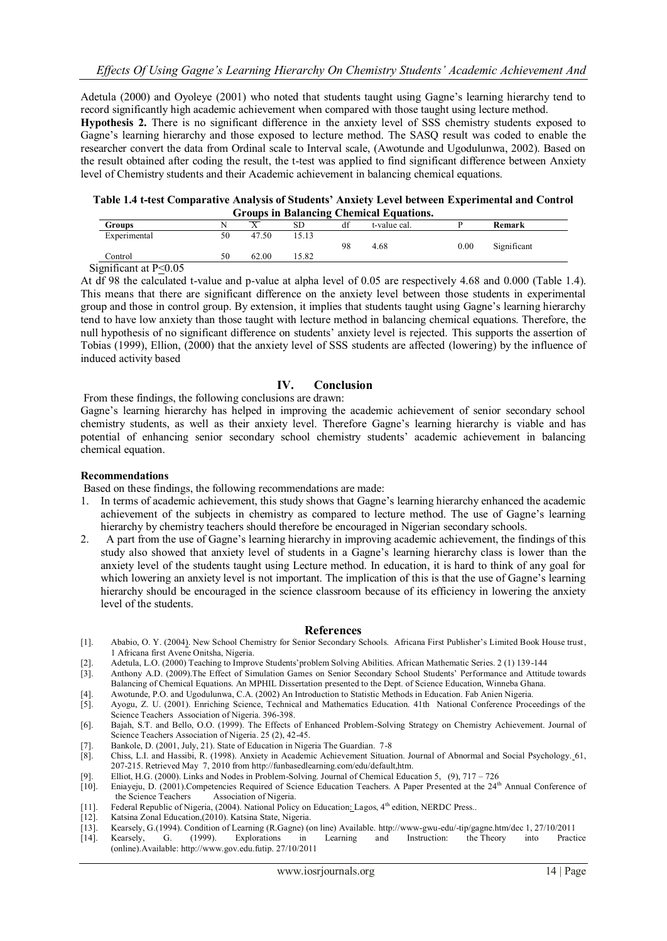Adetula (2000) and Oyoleye (2001) who noted that students taught using Gagne's learning hierarchy tend to record significantly high academic achievement when compared with those taught using lecture method.

**Hypothesis 2.** There is no significant difference in the anxiety level of SSS chemistry students exposed to Gagne's learning hierarchy and those exposed to lecture method. The SASQ result was coded to enable the researcher convert the data from Ordinal scale to Interval scale, (Awotunde and Ugodulunwa, 2002). Based on the result obtained after coding the result, the t-test was applied to find significant difference between Anxiety level of Chemistry students and their Academic achievement in balancing chemical equations.

| Table 1.4 t-test Comparative Analysis of Students' Anxiety Level between Experimental and Control |
|---------------------------------------------------------------------------------------------------|
| <b>Groups in Balancing Chemical Equations.</b>                                                    |

|                       |    |       |       |    | Groups in Dalancing Chemical Equations. |      |             |  |
|-----------------------|----|-------|-------|----|-----------------------------------------|------|-------------|--|
| Groups                |    |       | SD    |    | t-value cal.                            |      | Remark      |  |
| Experimental          | 50 | 47.50 | 15.13 |    |                                         |      |             |  |
|                       |    |       |       | 98 | 4.68                                    | 0.00 | Significant |  |
| Control               | 50 | 62.00 | 15.82 |    |                                         |      |             |  |
| Sionificant at P<0.05 |    |       |       |    |                                         |      |             |  |

Significant at P<0.05

At df 98 the calculated t-value and p-value at alpha level of 0.05 are respectively 4.68 and 0.000 (Table 1.4). This means that there are significant difference on the anxiety level between those students in experimental group and those in control group. By extension, it implies that students taught using Gagne's learning hierarchy tend to have low anxiety than those taught with lecture method in balancing chemical equations. Therefore, the null hypothesis of no significant difference on students' anxiety level is rejected. This supports the assertion of Tobias (1999), Ellion, (2000) that the anxiety level of SSS students are affected (lowering) by the influence of induced activity based

## **IV. Conclusion**

From these findings, the following conclusions are drawn:

Gagne's learning hierarchy has helped in improving the academic achievement of senior secondary school chemistry students, as well as their anxiety level. Therefore Gagne's learning hierarchy is viable and has potential of enhancing senior secondary school chemistry students' academic achievement in balancing chemical equation.

#### **Recommendations**

Based on these findings, the following recommendations are made:

- 1. In terms of academic achievement, this study shows that Gagne's learning hierarchy enhanced the academic achievement of the subjects in chemistry as compared to lecture method. The use of Gagne's learning hierarchy by chemistry teachers should therefore be encouraged in Nigerian secondary schools.
- 2. A part from the use of Gagne's learning hierarchy in improving academic achievement, the findings of this study also showed that anxiety level of students in a Gagne's learning hierarchy class is lower than the anxiety level of the students taught using Lecture method. In education, it is hard to think of any goal for which lowering an anxiety level is not important. The implication of this is that the use of Gagne's learning hierarchy should be encouraged in the science classroom because of its efficiency in lowering the anxiety level of the students.

#### **References**

- [1]. Ababio, O. Y. (2004). New School Chemistry for Senior Secondary Schools. Africana First Publisher's Limited Book House trust, 1 Africana first Avene Onitsha, Nigeria.
- [2]. Adetula, L.O. (2000) Teaching to Improve Students'problem Solving Abilities. African Mathematic Series. 2 (1) 139-144
- [3]. Anthony A.D. (2009).The Effect of Simulation Games on Senior Secondary School Students' Performance and Attitude towards Balancing of Chemical Equations. An MPHIL Dissertation presented to the Dept. of Science Education, Winneba Ghana.
- [4]. Awotunde, P.O. and Ugodulunwa, C.A. (2002) An Introduction to Statistic Methods in Education. Fab Anien Nigeria.
- [5]. Ayogu, Z. U. (2001). Enriching Science, Technical and Mathematics Education. 41th National Conference Proceedings of the Science Teachers Association of Nigeria. 396-398.
- [6]. Bajah, S.T. and Bello, O.O. (1999). The Effects of Enhanced Problem-Solving Strategy on Chemistry Achievement. Journal of Science Teachers Association of Nigeria. 25 (2), 42-45.
- [7]. Bankole, D. (2001, July, 21). State of Education in Nigeria The Guardian. 7-8
- [8]. Chiss, L.I. and Hassibi, R. (1998). Anxiety in Academic Achievement Situation. Journal of Abnormal and Social Psychology. 61, 207-215. Retrieved May 7, 2010 from [http://funbasedlearning.com/edu/default,htm.](http://funbasedlearning.com/edu/default,htm)
- [9]. Elliot, H.G. (2000). Links and Nodes in Problem-Solving. Journal of Chemical Education 5, (9), 717 726 [10]. Eniayeju, D. (2001). Competencies Required of Science Education Teachers. A Paper Presented at the  $24^{\text$
- Eniayeju, D. (2001).Competencies Required of Science Education Teachers. A Paper Presented at the 24<sup>th</sup> Annual Conference of the Science Teachers Association of Nigeria.
- [11]. Federal Republic of Nigeria, (2004). National Policy on Education: Lagos, 4<sup>th</sup> edition, NERDC Press..
- [12]. Katsina Zonal Education,(2010). Katsina State, Nigeria.
- [13]. Kearsely, G.(1994). Condition of Learning (R.Gagne) (on line) Available. [http://www-gwu-edu/-tip/gagne.htm/dec 1,](http://www-gwu-edu/-tip/gagne.htm/dec%201) 27/10/2011
- [14]. Kearsely, G. (1999). Explorations in Learning and Instruction: the Theory into Practice (online).Available: [http://www.gov.edu.futip.](http://www.gov.edu.futip/) 27/10/2011